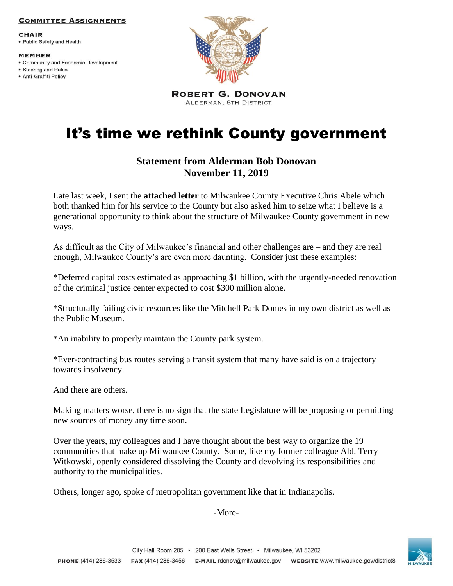### **COMMITTEE ASSIGNMENTS**

**CHAIR** • Public Safety and Health

#### **MEMBER**

- Community and Economic Development
- Steering and Rules · Anti-Graffiti Policy



**ROBERT G. DONOVAN** ALDERMAN, 8TH DISTRICT

# It's time we rethink County government

# **Statement from Alderman Bob Donovan November 11, 2019**

Late last week, I sent the **attached letter** to Milwaukee County Executive Chris Abele which both thanked him for his service to the County but also asked him to seize what I believe is a generational opportunity to think about the structure of Milwaukee County government in new ways.

As difficult as the City of Milwaukee's financial and other challenges are – and they are real enough, Milwaukee County's are even more daunting. Consider just these examples:

\*Deferred capital costs estimated as approaching \$1 billion, with the urgently-needed renovation of the criminal justice center expected to cost \$300 million alone.

\*Structurally failing civic resources like the Mitchell Park Domes in my own district as well as the Public Museum.

\*An inability to properly maintain the County park system.

\*Ever-contracting bus routes serving a transit system that many have said is on a trajectory towards insolvency.

And there are others.

Making matters worse, there is no sign that the state Legislature will be proposing or permitting new sources of money any time soon.

Over the years, my colleagues and I have thought about the best way to organize the 19 communities that make up Milwaukee County. Some, like my former colleague Ald. Terry Witkowski, openly considered dissolving the County and devolving its responsibilities and authority to the municipalities.

Others, longer ago, spoke of metropolitan government like that in Indianapolis.

## -More-

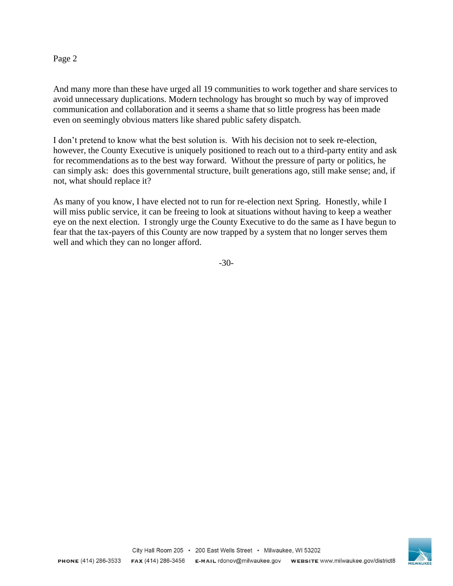## Page 2

And many more than these have urged all 19 communities to work together and share services to avoid unnecessary duplications. Modern technology has brought so much by way of improved communication and collaboration and it seems a shame that so little progress has been made even on seemingly obvious matters like shared public safety dispatch.

I don't pretend to know what the best solution is. With his decision not to seek re-election, however, the County Executive is uniquely positioned to reach out to a third-party entity and ask for recommendations as to the best way forward. Without the pressure of party or politics, he can simply ask: does this governmental structure, built generations ago, still make sense; and, if not, what should replace it?

As many of you know, I have elected not to run for re-election next Spring. Honestly, while I will miss public service, it can be freeing to look at situations without having to keep a weather eye on the next election. I strongly urge the County Executive to do the same as I have begun to fear that the tax-payers of this County are now trapped by a system that no longer serves them well and which they can no longer afford.

-30-

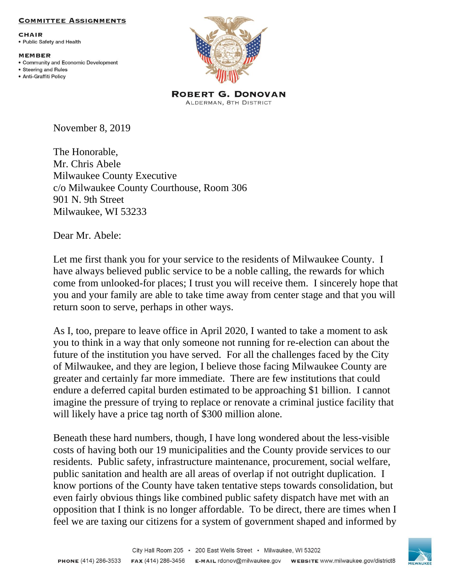## **COMMITTEE ASSIGNMENTS**

**CHAIR** • Public Safety and Health

**MEMBER** 

- Community and Economic Development
- Steering and Rules · Anti-Graffiti Policy



**ROBERT G. DONOVAN** ALDERMAN, 8TH DISTRICT

November 8, 2019

The Honorable, Mr. Chris Abele Milwaukee County Executive c/o Milwaukee County Courthouse, Room 306 901 N. 9th Street Milwaukee, WI 53233

Dear Mr. Abele:

Let me first thank you for your service to the residents of Milwaukee County. I have always believed public service to be a noble calling, the rewards for which come from unlooked-for places; I trust you will receive them. I sincerely hope that you and your family are able to take time away from center stage and that you will return soon to serve, perhaps in other ways.

As I, too, prepare to leave office in April 2020, I wanted to take a moment to ask you to think in a way that only someone not running for re-election can about the future of the institution you have served. For all the challenges faced by the City of Milwaukee, and they are legion, I believe those facing Milwaukee County are greater and certainly far more immediate. There are few institutions that could endure a deferred capital burden estimated to be approaching \$1 billion. I cannot imagine the pressure of trying to replace or renovate a criminal justice facility that will likely have a price tag north of \$300 million alone.

Beneath these hard numbers, though, I have long wondered about the less-visible costs of having both our 19 municipalities and the County provide services to our residents. Public safety, infrastructure maintenance, procurement, social welfare, public sanitation and health are all areas of overlap if not outright duplication. I know portions of the County have taken tentative steps towards consolidation, but even fairly obvious things like combined public safety dispatch have met with an opposition that I think is no longer affordable. To be direct, there are times when I feel we are taxing our citizens for a system of government shaped and informed by